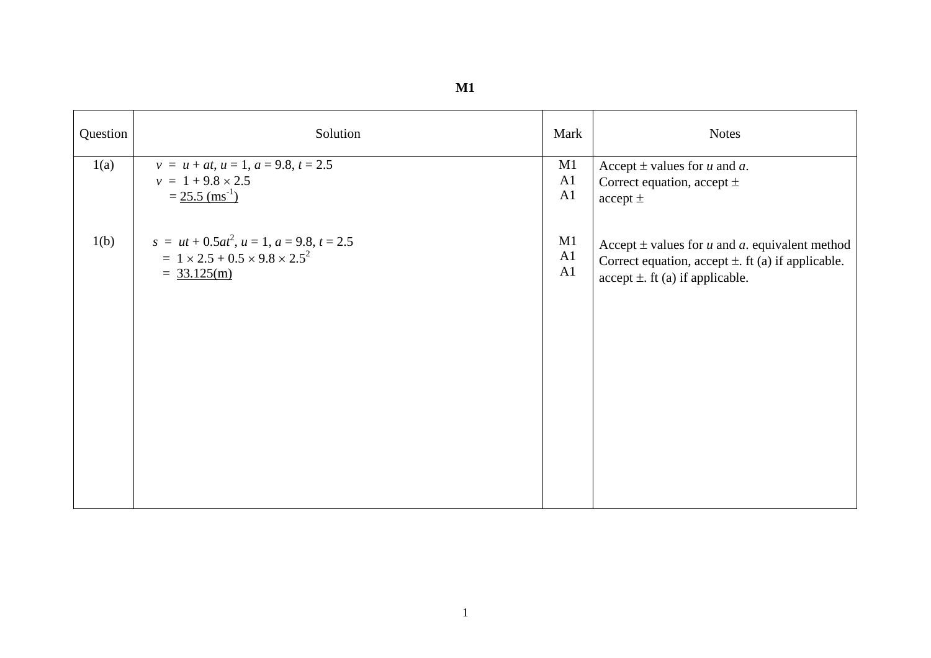| Question | Solution                                             | Mark           | <b>Notes</b>                                                      |
|----------|------------------------------------------------------|----------------|-------------------------------------------------------------------|
| 1(a)     | $v = u + at$ , $u = 1$ , $a = 9.8$ , $t = 2.5$       | M1             | Accept $\pm$ values for u and a.                                  |
|          | $v = 1 + 9.8 \times 2.5$                             | A <sub>1</sub> | Correct equation, accept $\pm$                                    |
|          | $= 25.5$ (ms <sup>-1</sup> )                         | A <sub>1</sub> | accept $\pm$                                                      |
| 1(b)     | $s = ut + 0.5at^2$ , $u = 1$ , $a = 9.8$ , $t = 2.5$ | M1             | Accept $\pm$ values for <i>u</i> and <i>a</i> . equivalent method |
|          | $= 1 \times 2.5 + 0.5 \times 9.8 \times 2.5^{2}$     | A1             | Correct equation, accept $\pm$ . ft (a) if applicable.            |
|          | $= 33.125(m)$                                        | A <sub>1</sub> | $accept \pm$ . ft (a) if applicable.                              |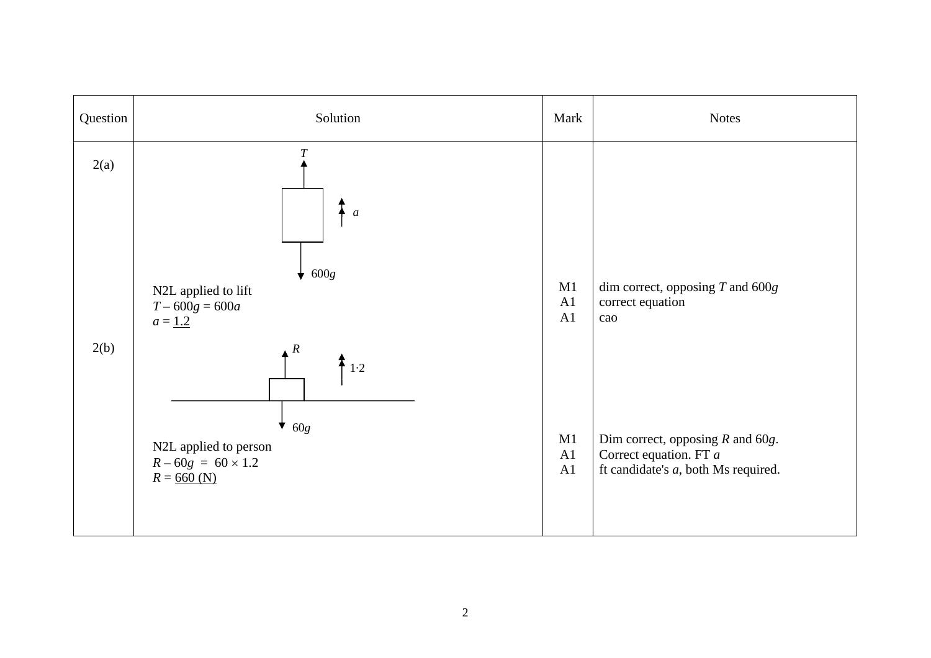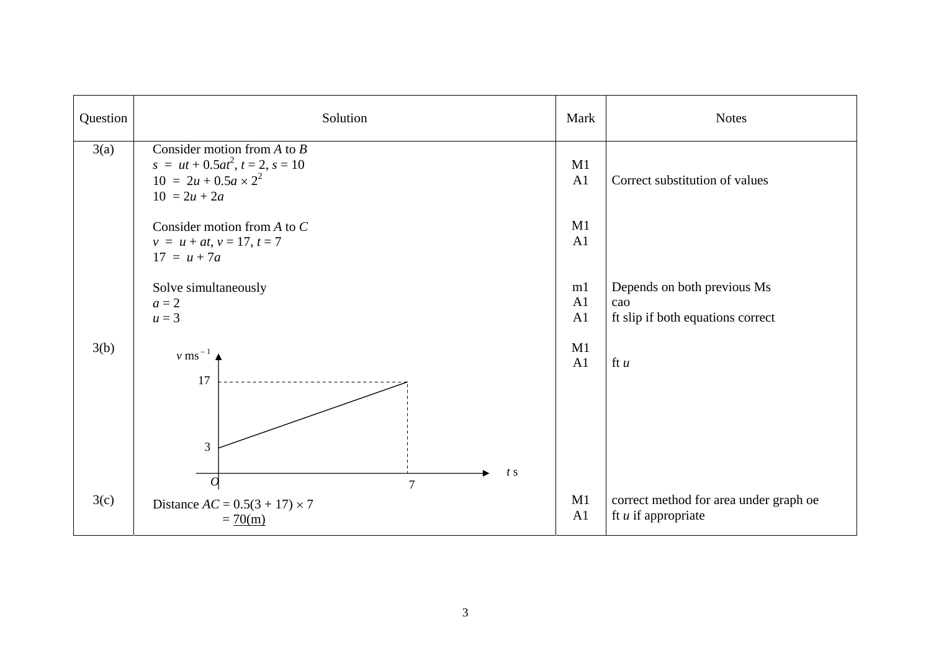| Question | Solution                                                                                                              | Mark                 | <b>Notes</b>                                                            |
|----------|-----------------------------------------------------------------------------------------------------------------------|----------------------|-------------------------------------------------------------------------|
| 3(a)     | Consider motion from $A$ to $B$<br>$s = ut + 0.5at^2, t = 2, s = 10$<br>$10 = 2u + 0.5a \times 2^2$<br>$10 = 2u + 2a$ | M1<br>A1             | Correct substitution of values                                          |
|          | Consider motion from $A$ to $C$<br>$v = u + at, v = 17, t = 7$<br>$17 = u + 7a$                                       | M1<br>A <sub>1</sub> |                                                                         |
|          | Solve simultaneously<br>$a=2$<br>$u=3$                                                                                | m1<br>A1<br>A1       | Depends on both previous Ms<br>cao<br>ft slip if both equations correct |
| 3(b)     | $v$ ms <sup><math>-1</math></sup><br>17                                                                               | M1<br>A1             | ft $u$                                                                  |
|          | $\overline{3}$<br>t s                                                                                                 |                      |                                                                         |
| 3(c)     | $\overline{O}$<br>$\overline{7}$<br>Distance $AC = 0.5(3 + 17) \times 7$<br>$= 70(m)$                                 | M1<br>A1             | correct method for area under graph oe<br>ft $u$ if appropriate         |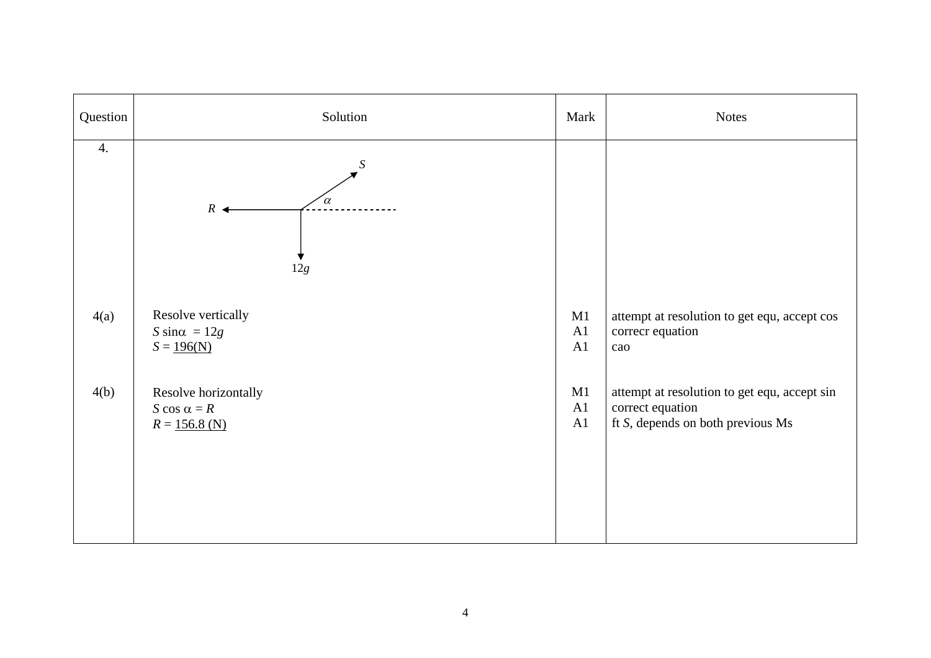| Question         | Solution                                  | Mark | <b>Notes</b>                                 |
|------------------|-------------------------------------------|------|----------------------------------------------|
| $\overline{4}$ . | S<br>$\alpha$<br>$R \triangleleft$<br>12g |      |                                              |
| 4(a)             | Resolve vertically                        | M1   | attempt at resolution to get equ, accept cos |
|                  | S sin $\alpha = 12g$                      | A1   | correcr equation                             |
|                  | $S = 196(N)$                              | A1   | cao                                          |
| 4(b)             | Resolve horizontally                      | M1   | attempt at resolution to get equ, accept sin |
|                  | S cos $\alpha = R$                        | A1   | correct equation                             |
|                  | $R = 156.8$ (N)                           | A1   | ft S, depends on both previous Ms            |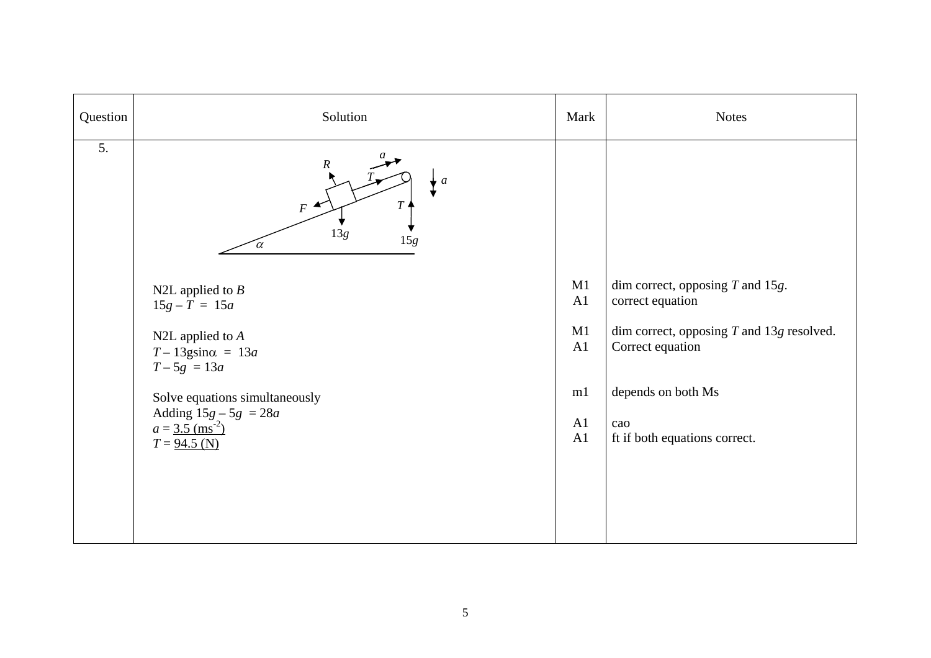| Question         | Solution                                                                                                                                                                                                                                                                                                            | Mark                                   | <b>Notes</b>                                                                                                                                                                            |
|------------------|---------------------------------------------------------------------------------------------------------------------------------------------------------------------------------------------------------------------------------------------------------------------------------------------------------------------|----------------------------------------|-----------------------------------------------------------------------------------------------------------------------------------------------------------------------------------------|
| $\overline{5}$ . | $\boldsymbol{R}$<br>$\boldsymbol{a}$<br>T<br>$F^{\star}$<br>13g<br>$15g$<br>$\alpha$<br>N2L applied to $B$<br>$15g - T = 15a$<br>N2L applied to $A$<br>$T-13$ gsin $\alpha = 13a$<br>$T - 5g = 13a$<br>Solve equations simultaneously<br>Adding $15g - 5g = 28a$<br>$a = 3.5$ (ms <sup>-2</sup> )<br>$T = 94.5$ (N) | M1<br>A1<br>M1<br>A1<br>m1<br>A1<br>A1 | dim correct, opposing $T$ and 15g.<br>correct equation<br>dim correct, opposing $T$ and 13g resolved.<br>Correct equation<br>depends on both Ms<br>cao<br>ft if both equations correct. |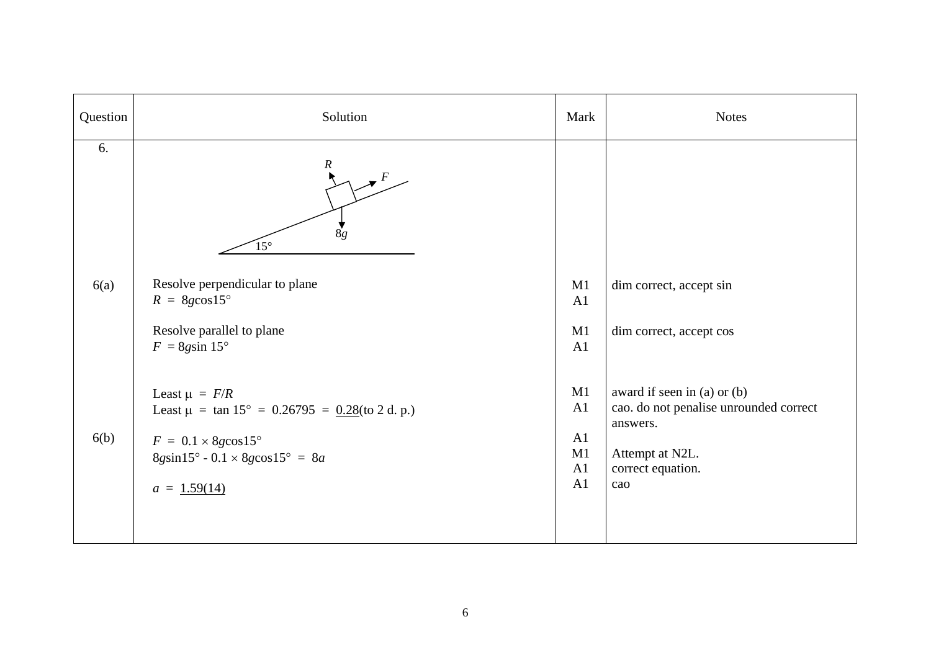| Question   | Solution                                                                                                                                                                                           | Mark                             | <b>Notes</b>                                                                                                                     |
|------------|----------------------------------------------------------------------------------------------------------------------------------------------------------------------------------------------------|----------------------------------|----------------------------------------------------------------------------------------------------------------------------------|
| 6.<br>6(a) | $\boldsymbol{R}$<br>8g<br>$15^{\circ}$<br>Resolve perpendicular to plane<br>$R = 8g\cos 15^\circ$<br>Resolve parallel to plane<br>$F = 8g\sin 15^\circ$                                            | M1<br>A1<br>M1<br>A1             | dim correct, accept sin<br>dim correct, accept cos                                                                               |
| 6(b)       | Least $\mu = F/R$<br>Least $\mu = \tan 15^{\circ} = 0.26795 = 0.28$ (to 2 d. p.)<br>$F = 0.1 \times 8g \cos 15^\circ$<br>$8g\sin 15^{\circ} - 0.1 \times 8g\cos 15^{\circ} = 8a$<br>$a = 1.59(14)$ | M1<br>A1<br>A1<br>M1<br>A1<br>A1 | award if seen in (a) or (b)<br>cao. do not penalise unrounded correct<br>answers.<br>Attempt at N2L.<br>correct equation.<br>cao |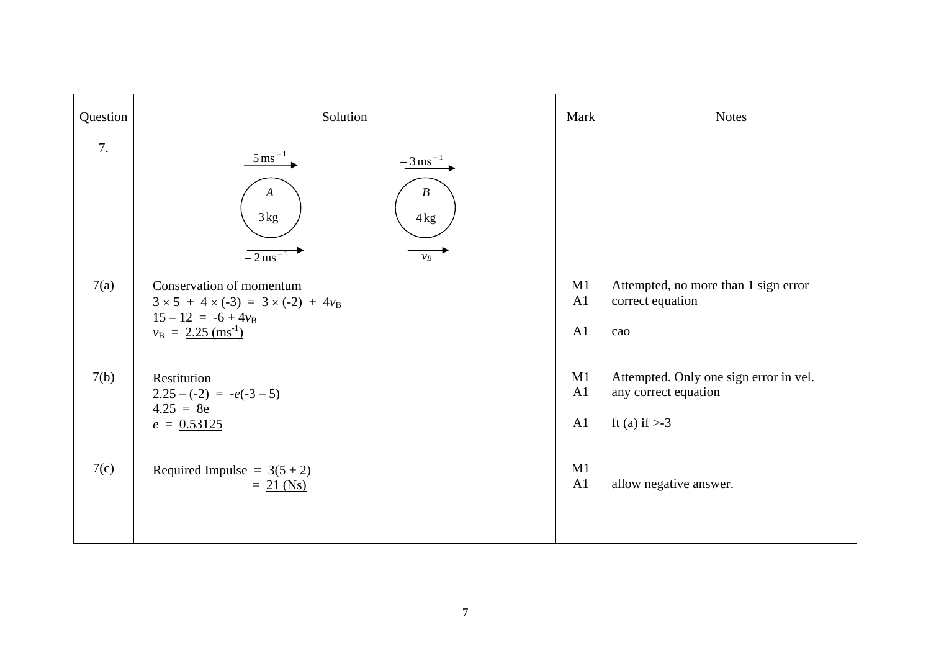| Question | Solution                                                                                                                                             | Mark           | <b>Notes</b>                                                                       |
|----------|------------------------------------------------------------------------------------------------------------------------------------------------------|----------------|------------------------------------------------------------------------------------|
| 7.       | $rac{5 \text{ ms}^{-1}}{2}$<br>$-3$ ms <sup>-1</sup><br>$\boldsymbol{B}$<br>A<br>3kg<br>4kg<br>$-2$ ms <sup><math>-1</math></sup><br>$\mathcal{V}_B$ |                |                                                                                    |
| 7(a)     | Conservation of momentum<br>$3 \times 5 + 4 \times (-3) = 3 \times (-2) + 4v_B$<br>$15 - 12 = -6 + 4v_B$<br>$v_{\rm B} = 2.25 \text{ (ms}^{-1})$     | M1<br>A1<br>A1 | Attempted, no more than 1 sign error<br>correct equation<br>cao                    |
| 7(b)     | Restitution<br>$2.25 - (-2) = -e(-3 - 5)$<br>$4.25 = 8e$<br>$e = 0.53125$                                                                            | M1<br>A1<br>A1 | Attempted. Only one sign error in vel.<br>any correct equation<br>ft (a) if $> -3$ |
| 7(c)     | Required Impulse = $3(5 + 2)$<br>$= 21$ (Ns)                                                                                                         | M1<br>A1       | allow negative answer.                                                             |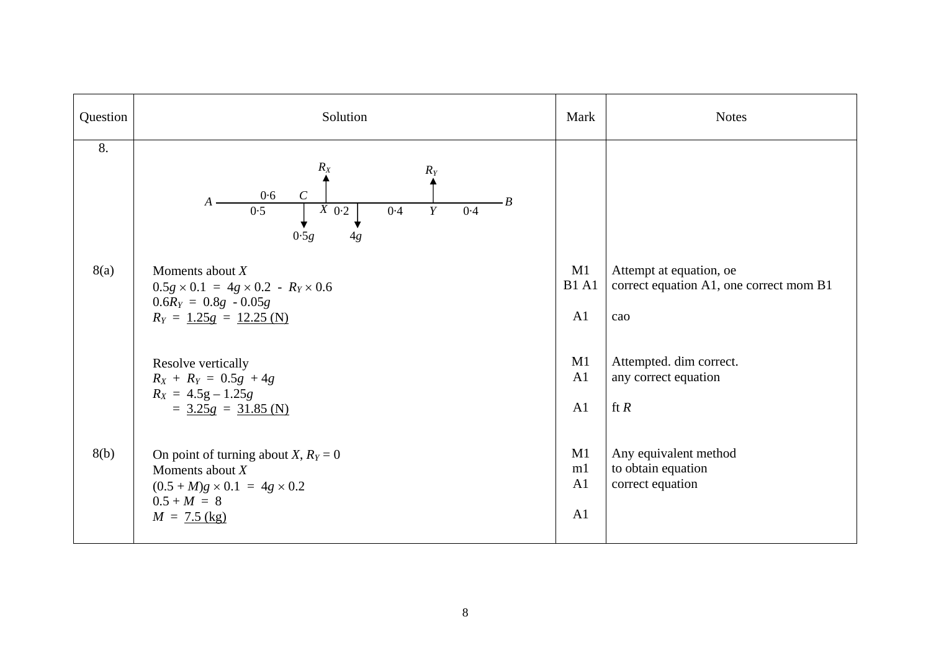| Question | Solution                                                                                                                                          | Mark                     | <b>Notes</b>                                                              |
|----------|---------------------------------------------------------------------------------------------------------------------------------------------------|--------------------------|---------------------------------------------------------------------------|
| 8.       | $R_X$<br>$R_Y$<br>$\mathcal{C}_{\mathcal{C}}$<br>0.6<br>B<br>$\overline{X}$ 0.2<br>0.5<br>Y<br>0.4<br>0.4<br>0.5g<br>4g                           |                          |                                                                           |
| 8(a)     | Moments about $X$<br>$0.5g \times 0.1 = 4g \times 0.2 - R_Y \times 0.6$<br>$0.6RY = 0.8g - 0.05g$<br>$R_Y = 1.25g = 12.25$ (N)                    | M1<br><b>B1 A1</b><br>A1 | Attempt at equation, oe<br>correct equation A1, one correct mom B1<br>cao |
|          | Resolve vertically<br>$R_X + R_Y = 0.5g + 4g$<br>$R_X = 4.5g - 1.25g$<br>$=$ 3.25g = 31.85 (N)                                                    | M1<br>A1<br>A1           | Attempted. dim correct.<br>any correct equation<br>ft $R$                 |
| 8(b)     | On point of turning about <i>X</i> , $R_Y = 0$<br>Moments about $X$<br>$(0.5 + M)g \times 0.1 = 4g \times 0.2$<br>$0.5 + M = 8$<br>$M = 7.5$ (kg) | M1<br>m1<br>A1<br>A1     | Any equivalent method<br>to obtain equation<br>correct equation           |